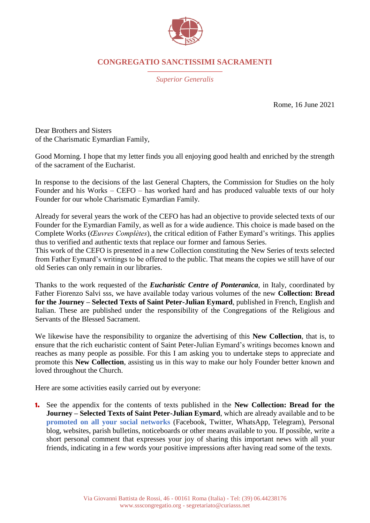

## **CONGREGATIO SANCTISSIMI SACRAMENTI**

*Superior Generalis*

Rome, 16 June 2021

Dear Brothers and Sisters of the Charismatic Eymardian Family,

Good Morning. I hope that my letter finds you all enjoying good health and enriched by the strength of the sacrament of the Eucharist.

In response to the decisions of the last General Chapters, the Commission for Studies on the holy Founder and his Works – CEFO – has worked hard and has produced valuable texts of our holy Founder for our whole Charismatic Eymardian Family.

Already for several years the work of the CEFO has had an objective to provide selected texts of our Founder for the Eymardian Family, as well as for a wide audience. This choice is made based on the Complete Works (*Œuvres Complètes*), the critical edition of Father Eymard's writings. This applies thus to verified and authentic texts that replace our former and famous Series.

This work of the CEFO is presented in a new Collection constituting the New Series of texts selected from Father Eymard's writings to be offered to the public. That means the copies we still have of our old Series can only remain in our libraries.

Thanks to the work requested of the *Eucharistic Centre of Ponteranica*, in Italy, coordinated by Father Fiorenzo Salvi sss, we have available today various volumes of the new **Collection: Bread for the Journey – Selected Texts of Saint Peter-Julian Eymard**, published in French, English and Italian. These are published under the responsibility of the Congregations of the Religious and Servants of the Blessed Sacrament.

We likewise have the responsibility to organize the advertising of this **New Collection**, that is, to ensure that the rich eucharistic content of Saint Peter-Julian Eymard's writings becomes known and reaches as many people as possible. For this I am asking you to undertake steps to appreciate and promote this **New Collection**, assisting us in this way to make our holy Founder better known and loved throughout the Church.

Here are some activities easily carried out by everyone:

**1.** See the appendix for the contents of texts published in the **New Collection: Bread for the Journey – Selected Texts of Saint Peter-Julian Eymard**, which are already available and to be **promoted on all your social networks** (Facebook, Twitter, WhatsApp, Telegram), Personal blog, websites, parish bulletins, noticeboards or other means available to you. If possible, write a short personal comment that expresses your joy of sharing this important news with all your friends, indicating in a few words your positive impressions after having read some of the texts.